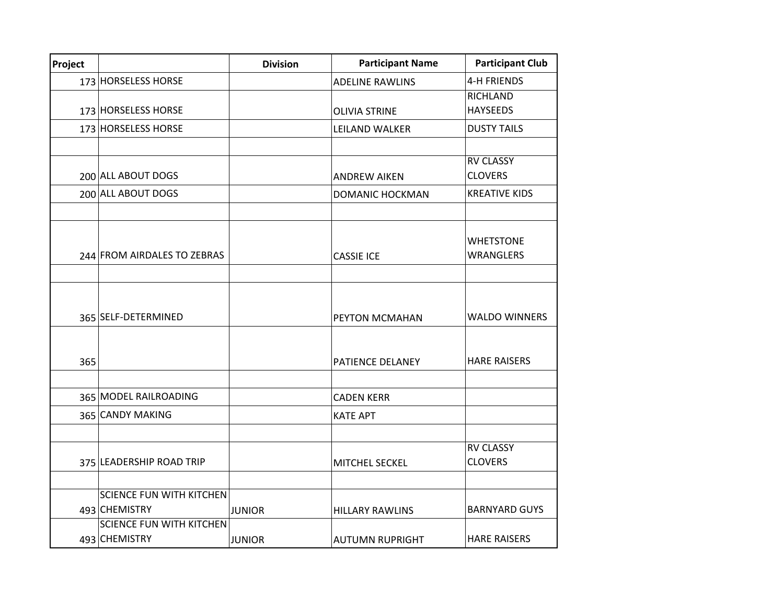| Project |                                 | <b>Division</b> | <b>Participant Name</b> | <b>Participant Club</b> |
|---------|---------------------------------|-----------------|-------------------------|-------------------------|
|         | 173 HORSELESS HORSE             |                 | <b>ADELINE RAWLINS</b>  | <b>4-H FRIENDS</b>      |
|         |                                 |                 |                         | <b>RICHLAND</b>         |
|         | 173 HORSELESS HORSE             |                 | <b>OLIVIA STRINE</b>    | <b>HAYSEEDS</b>         |
|         | 173 HORSELESS HORSE             |                 | LEILAND WALKER          | <b>DUSTY TAILS</b>      |
|         |                                 |                 |                         |                         |
|         |                                 |                 |                         | <b>RV CLASSY</b>        |
|         | 200 ALL ABOUT DOGS              |                 | <b>ANDREW AIKEN</b>     | <b>CLOVERS</b>          |
|         | 200 ALL ABOUT DOGS              |                 | <b>DOMANIC HOCKMAN</b>  | <b>KREATIVE KIDS</b>    |
|         |                                 |                 |                         |                         |
|         |                                 |                 |                         |                         |
|         |                                 |                 |                         | <b>WHETSTONE</b>        |
|         | 244 FROM AIRDALES TO ZEBRAS     |                 | <b>CASSIE ICE</b>       | <b>WRANGLERS</b>        |
|         |                                 |                 |                         |                         |
|         |                                 |                 |                         |                         |
|         | 365 SELF-DETERMINED             |                 | PEYTON MCMAHAN          | <b>WALDO WINNERS</b>    |
|         |                                 |                 |                         |                         |
|         |                                 |                 |                         |                         |
| 365     |                                 |                 | PATIENCE DELANEY        | <b>HARE RAISERS</b>     |
|         |                                 |                 |                         |                         |
|         | 365 MODEL RAILROADING           |                 | <b>CADEN KERR</b>       |                         |
|         | 365 CANDY MAKING                |                 | <b>KATE APT</b>         |                         |
|         |                                 |                 |                         |                         |
|         |                                 |                 |                         | <b>RV CLASSY</b>        |
|         | 375 LEADERSHIP ROAD TRIP        |                 | MITCHEL SECKEL          | <b>CLOVERS</b>          |
|         |                                 |                 |                         |                         |
|         | <b>SCIENCE FUN WITH KITCHEN</b> |                 |                         |                         |
|         | 493 CHEMISTRY                   | <b>JUNIOR</b>   | <b>HILLARY RAWLINS</b>  | <b>BARNYARD GUYS</b>    |
|         | <b>SCIENCE FUN WITH KITCHEN</b> |                 |                         |                         |
|         | 493 CHEMISTRY                   | <b>JUNIOR</b>   | <b>AUTUMN RUPRIGHT</b>  | <b>HARE RAISERS</b>     |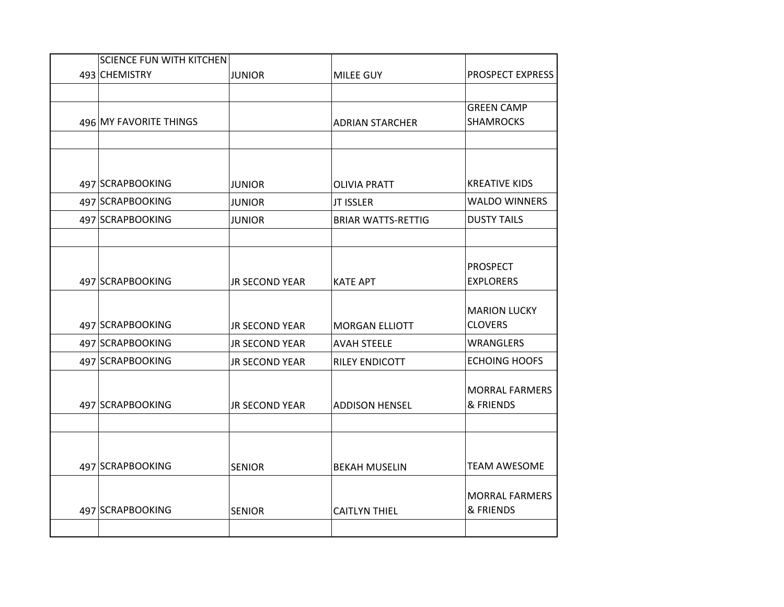| <b>SCIENCE FUN WITH KITCHEN</b> |                       |                           |                                    |
|---------------------------------|-----------------------|---------------------------|------------------------------------|
| 493 CHEMISTRY                   | <b>JUNIOR</b>         | MILEE GUY                 | PROSPECT EXPRESS                   |
|                                 |                       |                           | <b>GREEN CAMP</b>                  |
| 496 MY FAVORITE THINGS          |                       | <b>ADRIAN STARCHER</b>    | <b>SHAMROCKS</b>                   |
|                                 |                       |                           |                                    |
|                                 |                       |                           |                                    |
| 497 SCRAPBOOKING                | <b>JUNIOR</b>         | <b>OLIVIA PRATT</b>       | <b>KREATIVE KIDS</b>               |
| 497 SCRAPBOOKING                | <b>JUNIOR</b>         | JT ISSLER                 | <b>WALDO WINNERS</b>               |
| 497 SCRAPBOOKING                | <b>JUNIOR</b>         | <b>BRIAR WATTS-RETTIG</b> | <b>DUSTY TAILS</b>                 |
|                                 |                       |                           |                                    |
|                                 |                       |                           | <b>PROSPECT</b>                    |
| 497 SCRAPBOOKING                | <b>JR SECOND YEAR</b> | <b>KATE APT</b>           | <b>EXPLORERS</b>                   |
|                                 |                       |                           | <b>MARION LUCKY</b>                |
| 497 SCRAPBOOKING                | <b>JR SECOND YEAR</b> | <b>MORGAN ELLIOTT</b>     | <b>CLOVERS</b>                     |
| 497 SCRAPBOOKING                | <b>JR SECOND YEAR</b> | <b>AVAH STEELE</b>        | WRANGLERS                          |
| 497 SCRAPBOOKING                | <b>JR SECOND YEAR</b> | RILEY ENDICOTT            | <b>ECHOING HOOFS</b>               |
|                                 |                       |                           | <b>MORRAL FARMERS</b>              |
| 497 SCRAPBOOKING                | <b>JR SECOND YEAR</b> | <b>ADDISON HENSEL</b>     | & FRIENDS                          |
|                                 |                       |                           |                                    |
|                                 |                       |                           |                                    |
| 497 SCRAPBOOKING                | <b>SENIOR</b>         | <b>BEKAH MUSELIN</b>      | <b>TEAM AWESOME</b>                |
|                                 |                       |                           |                                    |
| 497 SCRAPBOOKING                | <b>SENIOR</b>         | <b>CAITLYN THIEL</b>      | <b>MORRAL FARMERS</b><br>& FRIENDS |
|                                 |                       |                           |                                    |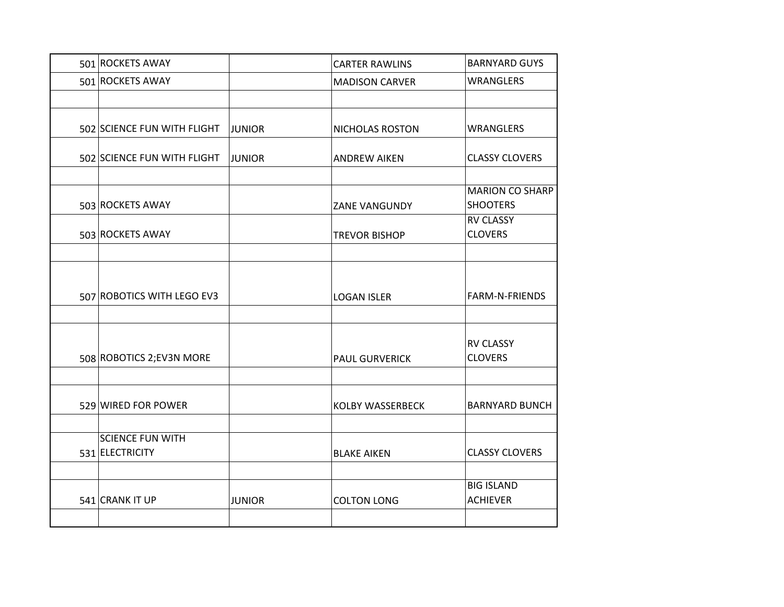| 501 ROCKETS AWAY            |               | <b>CARTER RAWLINS</b>   | <b>BARNYARD GUYS</b>               |
|-----------------------------|---------------|-------------------------|------------------------------------|
| 501 ROCKETS AWAY            |               | <b>MADISON CARVER</b>   | <b>WRANGLERS</b>                   |
|                             |               |                         |                                    |
| 502 SCIENCE FUN WITH FLIGHT | <b>JUNIOR</b> | NICHOLAS ROSTON         | <b>WRANGLERS</b>                   |
| 502 SCIENCE FUN WITH FLIGHT | <b>JUNIOR</b> | <b>ANDREW AIKEN</b>     | <b>CLASSY CLOVERS</b>              |
|                             |               |                         | <b>MARION CO SHARP</b>             |
| 503 ROCKETS AWAY            |               | ZANE VANGUNDY           | <b>SHOOTERS</b>                    |
| 503 ROCKETS AWAY            |               | <b>TREVOR BISHOP</b>    | <b>RV CLASSY</b><br><b>CLOVERS</b> |
|                             |               |                         |                                    |
|                             |               |                         |                                    |
| 507 ROBOTICS WITH LEGO EV3  |               | <b>LOGAN ISLER</b>      | FARM-N-FRIENDS                     |
|                             |               |                         |                                    |
| 508 ROBOTICS 2; EV3N MORE   |               | <b>PAUL GURVERICK</b>   | <b>RV CLASSY</b><br><b>CLOVERS</b> |
|                             |               |                         |                                    |
| 529 WIRED FOR POWER         |               | <b>KOLBY WASSERBECK</b> | <b>BARNYARD BUNCH</b>              |
|                             |               |                         |                                    |
| <b>SCIENCE FUN WITH</b>     |               |                         |                                    |
| 531 ELECTRICITY             |               | <b>BLAKE AIKEN</b>      | <b>CLASSY CLOVERS</b>              |
|                             |               |                         |                                    |
|                             |               |                         | <b>BIG ISLAND</b>                  |
| 541 CRANK IT UP             | <b>JUNIOR</b> | <b>COLTON LONG</b>      | <b>ACHIEVER</b>                    |
|                             |               |                         |                                    |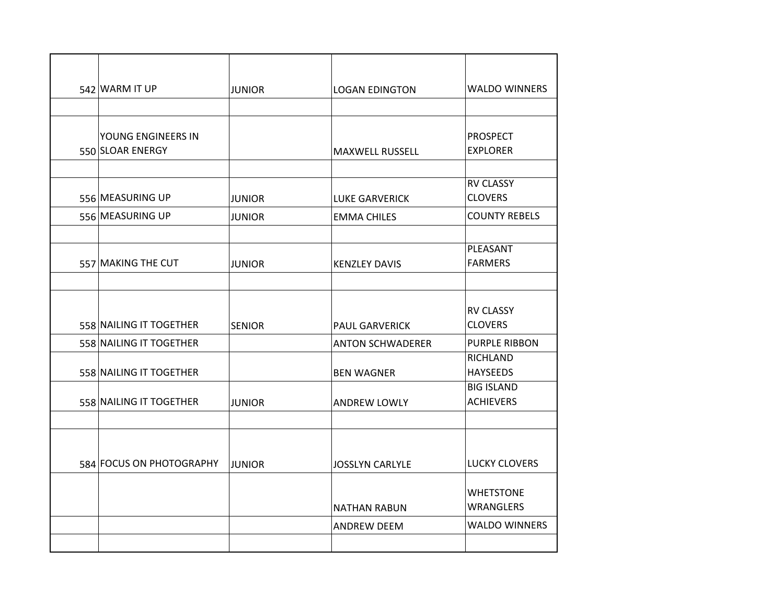| 542 WARM IT UP           | <b>JUNIOR</b> | <b>LOGAN EDINGTON</b>   | <b>WALDO WINNERS</b>                  |
|--------------------------|---------------|-------------------------|---------------------------------------|
|                          |               |                         |                                       |
| YOUNG ENGINEERS IN       |               |                         | <b>PROSPECT</b>                       |
| 550 SLOAR ENERGY         |               | <b>MAXWELL RUSSELL</b>  | <b>EXPLORER</b>                       |
|                          |               |                         |                                       |
|                          |               |                         | <b>RV CLASSY</b>                      |
| 556 MEASURING UP         | <b>JUNIOR</b> | <b>LUKE GARVERICK</b>   | <b>CLOVERS</b>                        |
| 556 MEASURING UP         | <b>JUNIOR</b> | <b>EMMA CHILES</b>      | <b>COUNTY REBELS</b>                  |
|                          |               |                         |                                       |
|                          |               |                         | PLEASANT                              |
| 557 MAKING THE CUT       | <b>JUNIOR</b> | <b>KENZLEY DAVIS</b>    | <b>FARMERS</b>                        |
|                          |               |                         |                                       |
|                          |               |                         | <b>RV CLASSY</b>                      |
| 558 NAILING IT TOGETHER  | <b>SENIOR</b> | <b>PAUL GARVERICK</b>   | <b>CLOVERS</b>                        |
| 558 NAILING IT TOGETHER  |               | <b>ANTON SCHWADERER</b> | <b>PURPLE RIBBON</b>                  |
|                          |               |                         | <b>RICHLAND</b>                       |
| 558 NAILING IT TOGETHER  |               | <b>BEN WAGNER</b>       | <b>HAYSEEDS</b>                       |
|                          |               |                         | <b>BIG ISLAND</b><br><b>ACHIEVERS</b> |
| 558 NAILING IT TOGETHER  | <b>JUNIOR</b> | <b>ANDREW LOWLY</b>     |                                       |
|                          |               |                         |                                       |
|                          |               |                         |                                       |
| 584 FOCUS ON PHOTOGRAPHY | <b>JUNIOR</b> | <b>JOSSLYN CARLYLE</b>  | <b>LUCKY CLOVERS</b>                  |
|                          |               |                         |                                       |
|                          |               |                         | <b>WHETSTONE</b><br><b>WRANGLERS</b>  |
|                          |               | <b>NATHAN RABUN</b>     |                                       |
|                          |               | <b>ANDREW DEEM</b>      | <b>WALDO WINNERS</b>                  |
|                          |               |                         |                                       |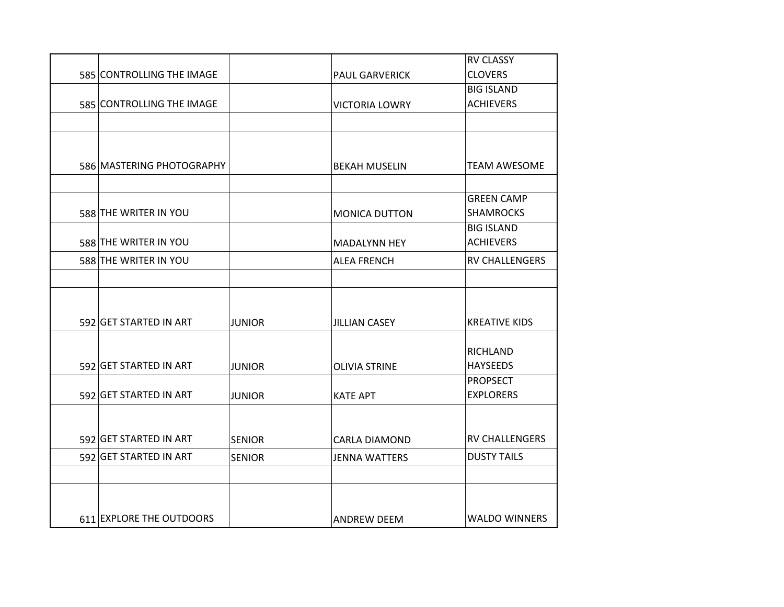|                           |               |                       | <b>RV CLASSY</b>      |
|---------------------------|---------------|-----------------------|-----------------------|
| 585 CONTROLLING THE IMAGE |               | <b>PAUL GARVERICK</b> | <b>CLOVERS</b>        |
|                           |               |                       | <b>BIG ISLAND</b>     |
| 585 CONTROLLING THE IMAGE |               | <b>VICTORIA LOWRY</b> | <b>ACHIEVERS</b>      |
|                           |               |                       |                       |
|                           |               |                       |                       |
| 586 MASTERING PHOTOGRAPHY |               | <b>BEKAH MUSELIN</b>  | <b>TEAM AWESOME</b>   |
|                           |               |                       |                       |
|                           |               |                       | <b>GREEN CAMP</b>     |
| 588 THE WRITER IN YOU     |               | <b>MONICA DUTTON</b>  | <b>SHAMROCKS</b>      |
|                           |               |                       | <b>BIG ISLAND</b>     |
| 588 THE WRITER IN YOU     |               | <b>MADALYNN HEY</b>   | <b>ACHIEVERS</b>      |
| 588 THE WRITER IN YOU     |               | <b>ALEA FRENCH</b>    | <b>RV CHALLENGERS</b> |
|                           |               |                       |                       |
|                           |               |                       |                       |
| 592 GET STARTED IN ART    | <b>JUNIOR</b> | <b>JILLIAN CASEY</b>  | <b>KREATIVE KIDS</b>  |
|                           |               |                       |                       |
|                           |               |                       | <b>RICHLAND</b>       |
| 592 GET STARTED IN ART    | JUNIOR        | <b>OLIVIA STRINE</b>  | <b>HAYSEEDS</b>       |
|                           |               |                       | <b>PROPSECT</b>       |
| 592 GET STARTED IN ART    | <b>JUNIOR</b> | <b>KATE APT</b>       | <b>EXPLORERS</b>      |
|                           |               |                       |                       |
| 592 GET STARTED IN ART    | <b>SENIOR</b> | <b>CARLA DIAMOND</b>  | <b>RV CHALLENGERS</b> |
| 592 GET STARTED IN ART    | <b>SENIOR</b> | <b>JENNA WATTERS</b>  | <b>DUSTY TAILS</b>    |
|                           |               |                       |                       |
|                           |               |                       |                       |
| 611 EXPLORE THE OUTDOORS  |               | <b>ANDREW DEEM</b>    | <b>WALDO WINNERS</b>  |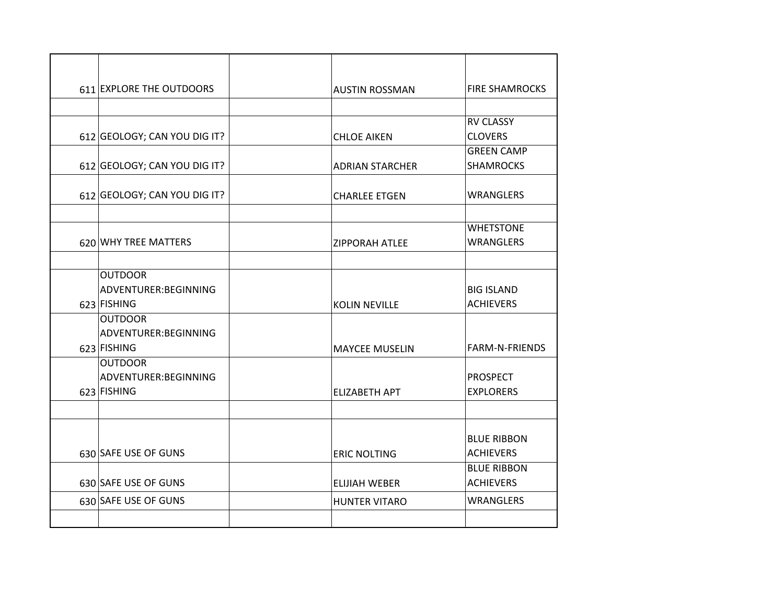| 611 EXPLORE THE OUTDOORS                | <b>AUSTIN ROSSMAN</b>  | <b>FIRE SHAMROCKS</b> |
|-----------------------------------------|------------------------|-----------------------|
|                                         |                        |                       |
|                                         |                        | <b>RV CLASSY</b>      |
| 612 GEOLOGY; CAN YOU DIG IT?            | <b>CHLOE AIKEN</b>     | <b>CLOVERS</b>        |
|                                         |                        | <b>GREEN CAMP</b>     |
| 612 GEOLOGY; CAN YOU DIG IT?            | <b>ADRIAN STARCHER</b> | <b>SHAMROCKS</b>      |
|                                         |                        |                       |
| 612 GEOLOGY; CAN YOU DIG IT?            | <b>CHARLEE ETGEN</b>   | <b>WRANGLERS</b>      |
|                                         |                        |                       |
|                                         |                        | <b>WHETSTONE</b>      |
| 620 WHY TREE MATTERS                    | <b>ZIPPORAH ATLEE</b>  | <b>WRANGLERS</b>      |
|                                         |                        |                       |
| <b>OUTDOOR</b>                          |                        |                       |
| ADVENTURER: BEGINNING                   |                        | <b>BIG ISLAND</b>     |
| 623 FISHING                             | <b>KOLIN NEVILLE</b>   | <b>ACHIEVERS</b>      |
| <b>OUTDOOR</b>                          |                        |                       |
| ADVENTURER: BEGINNING                   |                        |                       |
| 623 FISHING                             | <b>MAYCEE MUSELIN</b>  | <b>FARM-N-FRIENDS</b> |
| <b>OUTDOOR</b><br>ADVENTURER: BEGINNING |                        | <b>PROSPECT</b>       |
| 623 FISHING                             | <b>ELIZABETH APT</b>   | <b>EXPLORERS</b>      |
|                                         |                        |                       |
|                                         |                        |                       |
|                                         |                        | <b>BLUE RIBBON</b>    |
| 630 SAFE USE OF GUNS                    | <b>ERIC NOLTING</b>    | <b>ACHIEVERS</b>      |
|                                         |                        | <b>BLUE RIBBON</b>    |
| 630 SAFE USE OF GUNS                    | <b>ELIJIAH WEBER</b>   | <b>ACHIEVERS</b>      |
| 630 SAFE USE OF GUNS                    | <b>HUNTER VITARO</b>   | <b>WRANGLERS</b>      |
|                                         |                        |                       |
|                                         |                        |                       |